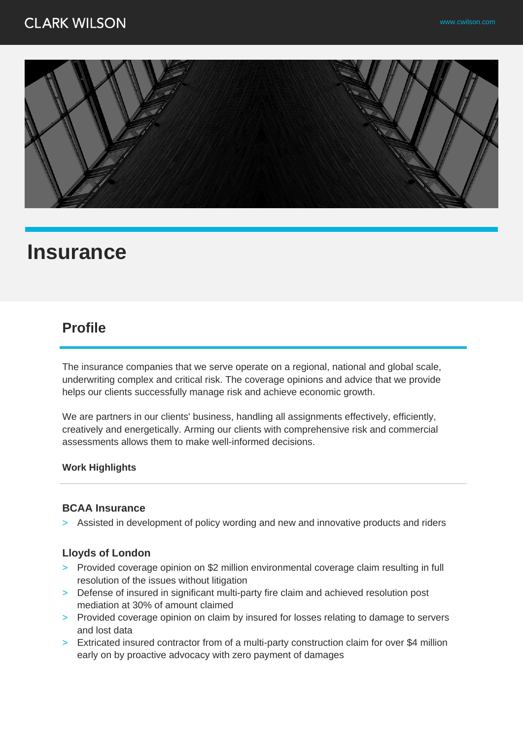## **CLARK WILSON**



# **Insurance**

### **Profile**

The insurance companies that we serve operate on a regional, national and global scale, underwriting complex and critical risk. The coverage opinions and advice that we provide helps our clients successfully manage risk and achieve economic growth.

We are partners in our clients' business, handling all assignments effectively, efficiently, creatively and energetically. Arming our clients with comprehensive risk and commercial assessments allows them to make well-informed decisions.

#### **Work Highlights**

#### **BCAA Insurance**

> Assisted in development of policy wording and new and innovative products and riders

#### **Lloyds of London**

- > Provided coverage opinion on \$2 million environmental coverage claim resulting in full resolution of the issues without litigation
- > Defense of insured in significant multi-party fire claim and achieved resolution post mediation at 30% of amount claimed
- > Provided coverage opinion on claim by insured for losses relating to damage to servers and lost data
- > Extricated insured contractor from of a multi-party construction claim for over \$4 million early on by proactive advocacy with zero payment of damages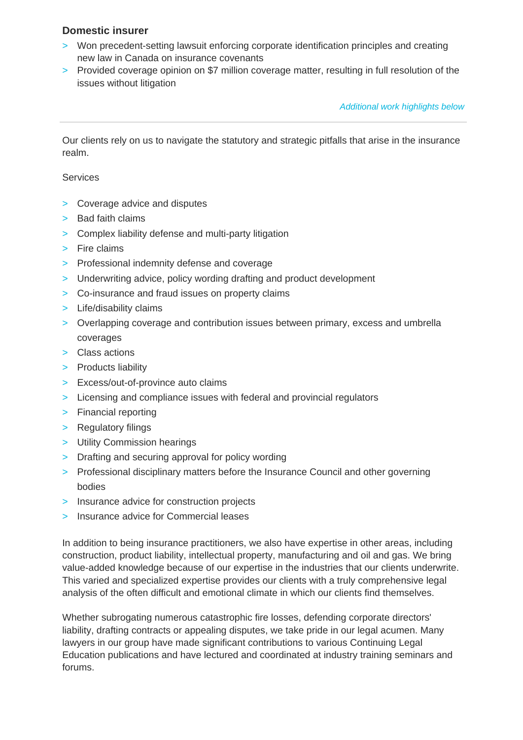#### **Domestic insurer**

- > Won precedent-setting lawsuit enforcing corporate identification principles and creating new law in Canada on insurance covenants
- > Provided coverage opinion on \$7 million coverage matter, resulting in full resolution of the issues without litigation

Additional work highlights below

Our clients rely on us to navigate the statutory and strategic pitfalls that arise in the insurance realm.

#### **Services**

- > Coverage advice and disputes
- > Bad faith claims
- > Complex liability defense and multi-party litigation
- > Fire claims
- > Professional indemnity defense and coverage
- > Underwriting advice, policy wording drafting and product development
- > Co-insurance and fraud issues on property claims
- > Life/disability claims
- > Overlapping coverage and contribution issues between primary, excess and umbrella coverages
- > Class actions
- > Products liability
- > Excess/out-of-province auto claims
- > Licensing and compliance issues with federal and provincial regulators
- > Financial reporting
- > Regulatory filings
- > Utility Commission hearings
- > Drafting and securing approval for policy wording
- > Professional disciplinary matters before the Insurance Council and other governing bodies
- > Insurance advice for construction projects
- > Insurance advice for Commercial leases

In addition to being insurance practitioners, we also have expertise in other areas, including construction, product liability, intellectual property, manufacturing and oil and gas. We bring value-added knowledge because of our expertise in the industries that our clients underwrite. This varied and specialized expertise provides our clients with a truly comprehensive legal analysis of the often difficult and emotional climate in which our clients find themselves.

Whether subrogating numerous catastrophic fire losses, defending corporate directors' liability, drafting contracts or appealing disputes, we take pride in our legal acumen. Many lawyers in our group have made significant contributions to various Continuing Legal Education publications and have lectured and coordinated at industry training seminars and forums.